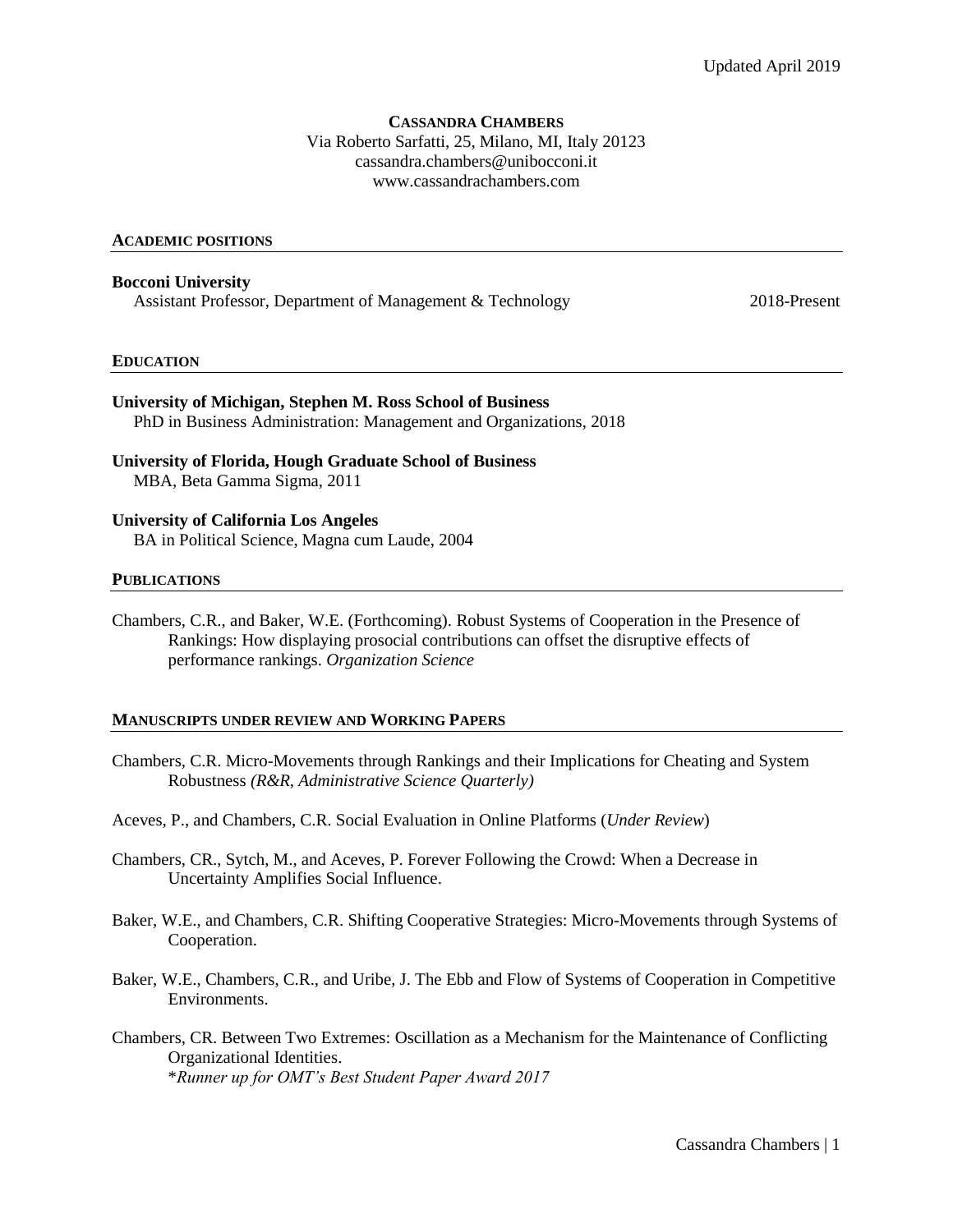#### **CASSANDRA CHAMBERS**

Via Roberto Sarfatti, 25, Milano, MI, Italy 20123 cassandra.chambers@unibocconi.it www.cassandrachambers.com

#### **ACADEMIC POSITIONS**

**Bocconi University**  Assistant Professor, Department of Management & Technology 2018-Present

#### **EDUCATION**

- **University of Michigan, Stephen M. Ross School of Business** PhD in Business Administration: Management and Organizations, 2018
- **University of Florida, Hough Graduate School of Business**  MBA, Beta Gamma Sigma, 2011

## **University of California Los Angeles**

BA in Political Science, Magna cum Laude, 2004

#### **PUBLICATIONS**

Chambers, C.R., and Baker, W.E. (Forthcoming). Robust Systems of Cooperation in the Presence of Rankings: How displaying prosocial contributions can offset the disruptive effects of performance rankings. *Organization Science*

#### **MANUSCRIPTS UNDER REVIEW AND WORKING PAPERS**

- Chambers, C.R. Micro-Movements through Rankings and their Implications for Cheating and System Robustness *(R&R, Administrative Science Quarterly)*
- Aceves, P., and Chambers, C.R. Social Evaluation in Online Platforms (*Under Review*)
- Chambers, CR., Sytch, M., and Aceves, P. Forever Following the Crowd: When a Decrease in Uncertainty Amplifies Social Influence.
- Baker, W.E., and Chambers, C.R. Shifting Cooperative Strategies: Micro-Movements through Systems of Cooperation.
- Baker, W.E., Chambers, C.R., and Uribe, J. The Ebb and Flow of Systems of Cooperation in Competitive Environments.
- Chambers, CR. Between Two Extremes: Oscillation as a Mechanism for the Maintenance of Conflicting Organizational Identities. \**Runner up for OMT's Best Student Paper Award 2017*

Cassandra Chambers | 1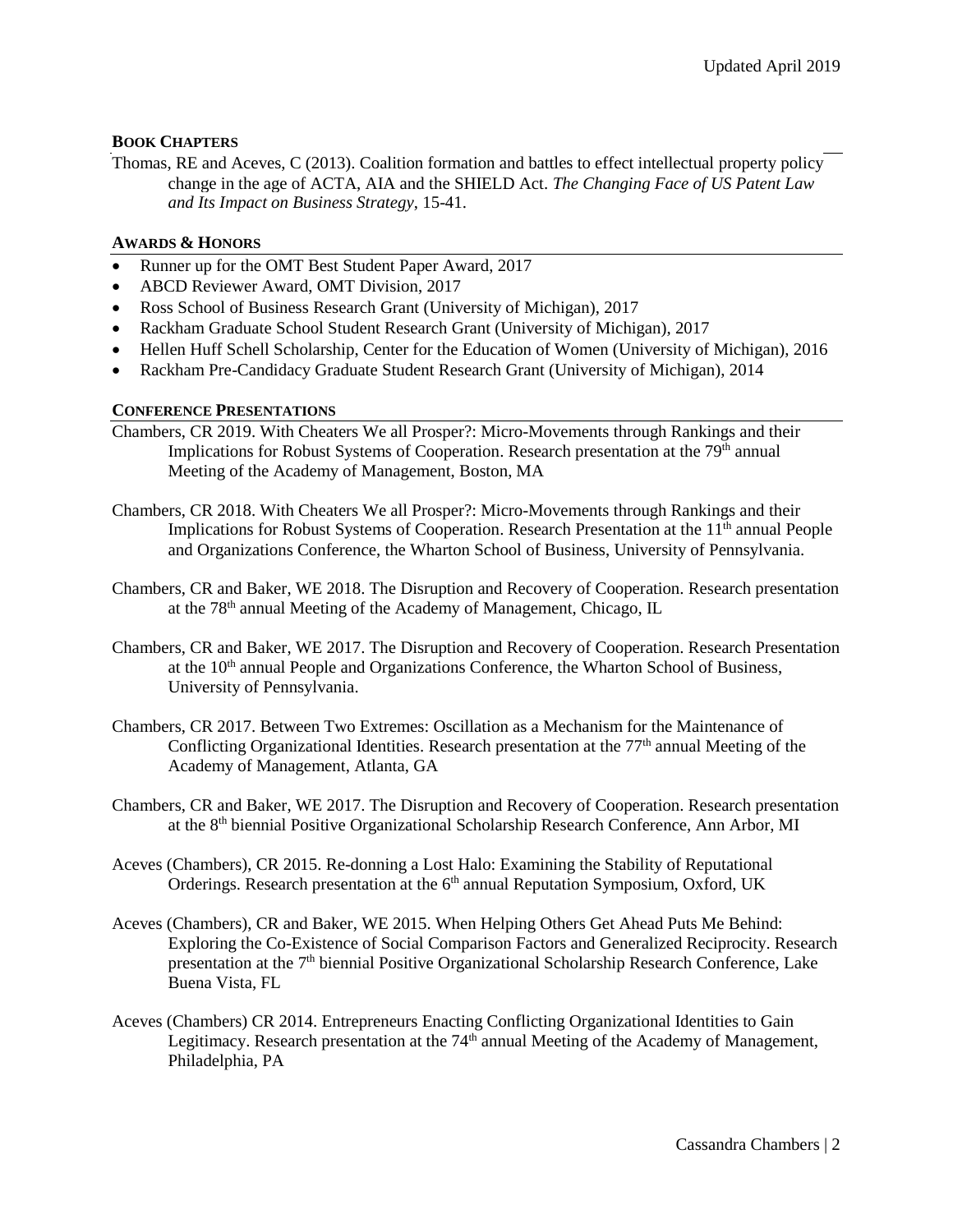# **BOOK CHAPTERS**

Thomas, RE and Aceves, C (2013). Coalition formation and battles to effect intellectual property policy change in the age of ACTA, AIA and the SHIELD Act. *The Changing Face of US Patent Law and Its Impact on Business Strategy*, 15-41.

## **AWARDS & HONORS**

- Runner up for the OMT Best Student Paper Award, 2017
- ABCD Reviewer Award, OMT Division, 2017
- Ross School of Business Research Grant (University of Michigan), 2017
- Rackham Graduate School Student Research Grant (University of Michigan), 2017
- Hellen Huff Schell Scholarship, Center for the Education of Women (University of Michigan), 2016
- Rackham Pre-Candidacy Graduate Student Research Grant (University of Michigan), 2014

# **CONFERENCE PRESENTATIONS**

- Chambers, CR 2019. With Cheaters We all Prosper?: Micro-Movements through Rankings and their Implications for Robust Systems of Cooperation. Research presentation at the 79<sup>th</sup> annual Meeting of the Academy of Management, Boston, MA
- Chambers, CR 2018. With Cheaters We all Prosper?: Micro-Movements through Rankings and their Implications for Robust Systems of Cooperation. Research Presentation at the  $11<sup>th</sup>$  annual People and Organizations Conference, the Wharton School of Business, University of Pennsylvania.
- Chambers, CR and Baker, WE 2018. The Disruption and Recovery of Cooperation. Research presentation at the 78<sup>th</sup> annual Meeting of the Academy of Management, Chicago, IL
- Chambers, CR and Baker, WE 2017. The Disruption and Recovery of Cooperation. Research Presentation at the 10<sup>th</sup> annual People and Organizations Conference, the Wharton School of Business, University of Pennsylvania.
- Chambers, CR 2017. Between Two Extremes: Oscillation as a Mechanism for the Maintenance of Conflicting Organizational Identities. Research presentation at the  $77<sup>th</sup>$  annual Meeting of the Academy of Management, Atlanta, GA
- Chambers, CR and Baker, WE 2017. The Disruption and Recovery of Cooperation. Research presentation at the 8th biennial Positive Organizational Scholarship Research Conference, Ann Arbor, MI
- Aceves (Chambers), CR 2015. Re-donning a Lost Halo: Examining the Stability of Reputational Orderings. Research presentation at the  $6<sup>th</sup>$  annual Reputation Symposium, Oxford, UK
- Aceves (Chambers), CR and Baker, WE 2015. When Helping Others Get Ahead Puts Me Behind: Exploring the Co-Existence of Social Comparison Factors and Generalized Reciprocity. Research presentation at the 7<sup>th</sup> biennial Positive Organizational Scholarship Research Conference, Lake Buena Vista, FL
- Aceves (Chambers) CR 2014. Entrepreneurs Enacting Conflicting Organizational Identities to Gain Legitimacy. Research presentation at the 74<sup>th</sup> annual Meeting of the Academy of Management, Philadelphia, PA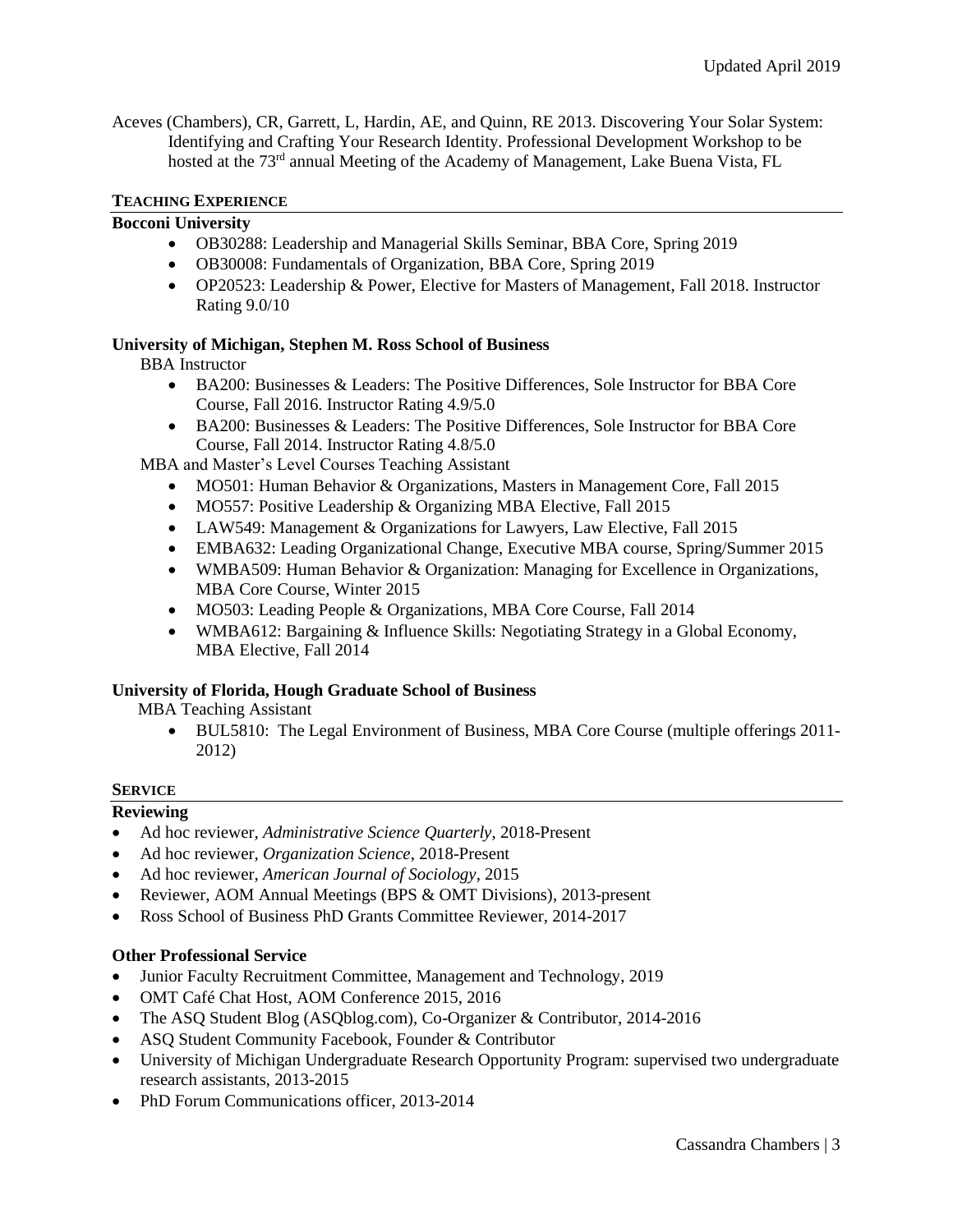Aceves (Chambers), CR, Garrett, L, Hardin, AE, and Quinn, RE 2013. Discovering Your Solar System: Identifying and Crafting Your Research Identity. Professional Development Workshop to be hosted at the 73<sup>rd</sup> annual Meeting of the Academy of Management, Lake Buena Vista, FL

# **TEACHING EXPERIENCE**

# **Bocconi University**

- OB30288: Leadership and Managerial Skills Seminar, BBA Core, Spring 2019
- OB30008: Fundamentals of Organization, BBA Core, Spring 2019
- OP20523: Leadership & Power, Elective for Masters of Management, Fall 2018. Instructor Rating 9.0/10

### **University of Michigan, Stephen M. Ross School of Business**

BBA Instructor

- BA200: Businesses & Leaders: The Positive Differences, Sole Instructor for BBA Core Course, Fall 2016. Instructor Rating 4.9/5.0
- BA200: Businesses & Leaders: The Positive Differences, Sole Instructor for BBA Core Course, Fall 2014. Instructor Rating 4.8/5.0

MBA and Master's Level Courses Teaching Assistant

- MO501: Human Behavior & Organizations, Masters in Management Core, Fall 2015
- MO557: Positive Leadership & Organizing MBA Elective, Fall 2015
- LAW549: Management & Organizations for Lawyers, Law Elective, Fall 2015
- EMBA632: Leading Organizational Change, Executive MBA course, Spring/Summer 2015
- WMBA509: Human Behavior & Organization: Managing for Excellence in Organizations, MBA Core Course, Winter 2015
- MO503: Leading People & Organizations, MBA Core Course, Fall 2014
- WMBA612: Bargaining & Influence Skills: Negotiating Strategy in a Global Economy, MBA Elective, Fall 2014

### **University of Florida, Hough Graduate School of Business**

MBA Teaching Assistant

 BUL5810: The Legal Environment of Business, MBA Core Course (multiple offerings 2011- 2012)

### **SERVICE**

### **Reviewing**

- Ad hoc reviewer, *Administrative Science Quarterly*, 2018-Present
- Ad hoc reviewer, *Organization Science*, 2018-Present
- Ad hoc reviewer, *American Journal of Sociology*, 2015
- Reviewer, AOM Annual Meetings (BPS & OMT Divisions), 2013-present
- Ross School of Business PhD Grants Committee Reviewer, 2014-2017

### **Other Professional Service**

- Junior Faculty Recruitment Committee, Management and Technology, 2019
- OMT Café Chat Host, AOM Conference 2015, 2016
- The ASQ Student Blog (ASQblog.com), Co-Organizer & Contributor, 2014-2016
- ASQ Student Community Facebook, Founder & Contributor
- University of Michigan Undergraduate Research Opportunity Program: supervised two undergraduate research assistants, 2013-2015
- PhD Forum Communications officer, 2013-2014